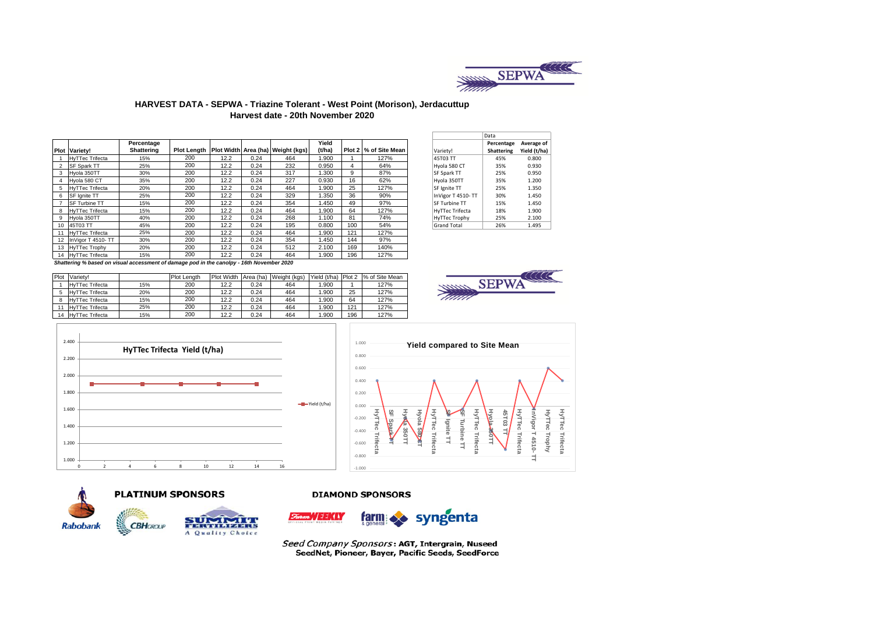

#### **HARVEST DATA - SEPWA - Triazine Tolerant - West Point (Morison), Jerdacuttup Harvest date - 20th November 2020**

|    |                        | Percentage |     |      |      |                                                     | Yield  |     |                       |                      | Percentage | Average   |
|----|------------------------|------------|-----|------|------|-----------------------------------------------------|--------|-----|-----------------------|----------------------|------------|-----------|
|    | <b>Plot Variety!</b>   | Shattering |     |      |      | Plot Length   Plot Width   Area (ha)   Weight (kgs) | (t/ha) |     | Plot 2 % of Site Mean | Variety!             | Shattering | Yield (t/ |
|    | <b>HyTTec Trifecta</b> | 15%        | 200 | 12.2 | 0.24 | 464                                                 | 1.900  |     | 127%                  | 45T03 TT             | 45%        | 0.800     |
|    | SF Spark TT            | 25%        | 200 | 12.2 | 0.24 | 232                                                 | 0.950  | 4   | 64%                   | Hyola 580 CT         | 35%        | 0.930     |
|    | Hyola 350TT            | 30%        | 200 | 12.2 | 0.24 | 317                                                 | 1.300  | 9   | 87%                   | <b>SF Spark TT</b>   | 25%        | 0.950     |
|    | Hvola 580 CT           | 35%        | 200 | 12.2 | 0.24 | 227                                                 | 0.930  | 16  | 62%                   | Hyola 350TT          | 35%        | 1.200     |
| 5. | <b>HyTTec Trifecta</b> | 20%        | 200 | 12.2 | 0.24 | 464                                                 | 1.900  | 25  | 127%                  | SF Ignite TT         | 25%        | 1.350     |
| 6  | SF Ignite TT           | 25%        | 200 | 12.2 | 0.24 | 329                                                 | 1.350  | 36  | 90%                   | InVigor T 4510-TT    | 30%        | 1.450     |
|    | <b>SF Turbine TT</b>   | 15%        | 200 | 12.2 | 0.24 | 354                                                 | 1.450  | 49  | 97%                   | <b>SF Turbine TT</b> | 15%        | 1.450     |
|    | 8 HyTTec Trifecta      | 15%        | 200 | 12.2 | 0.24 | 464                                                 | 1.900  | 64  | 127%                  | HyTTec Trifecta      | 18%        | 1.900     |
| 9  | Hyola 350TT            | 40%        | 200 | 12.2 | 0.24 | 268                                                 | 1.100  | 81  | 74%                   | HyTTec Trophy        | 25%        | 2.100     |
|    | 10 45T03 TT            | 45%        | 200 | 12.2 | 0.24 | 195                                                 | 0.800  | 100 | 54%                   | <b>Grand Total</b>   | 26%        | 1.495     |
|    | 11 HvTTec Trifecta     | 25%        | 200 | 12.2 | 0.24 | 464                                                 | 1.900  | 121 | 127%                  |                      |            |           |
|    | 12 InVigor T 4510- TT  | 30%        | 200 | 12.2 | 0.24 | 354                                                 | 1.450  | 144 | 97%                   |                      |            |           |
|    | 13 HyTTec Trophy       | 20%        | 200 | 12.2 | 0.24 | 512                                                 | 2.100  | 169 | 140%                  |                      |            |           |
|    | 14 HyTTec Trifecta     | 15%        | 200 | 12.2 | 0.24 | 464                                                 | 1.900  | 196 | 127%                  |                      |            |           |

|                        | Data              |              |
|------------------------|-------------------|--------------|
|                        | Percentage        | Average of   |
| Variety!               | <b>Shattering</b> | Yield (t/ha) |
| 45T03 TT               | 45%               | 0.800        |
| Hyola 580 CT           | 35%               | 0.930        |
| SF Spark TT            | 25%               | 0.950        |
| Hvola 350TT            | 35%               | 1.200        |
| SF Ignite TT           | 25%               | 1.350        |
| InVigor T 4510-TT      | 30%               | 1.450        |
| SF Turbine TT          | 15%               | 1.450        |
| <b>HyTTec Trifecta</b> | 18%               | 1.900        |
| <b>HyTTec Trophy</b>   | 25%               | 2.100        |
| <b>Grand Total</b>     | 26%               | 1.495        |

*Shattering % based on visual accessment of damage pod in the canolpy - 16th November 2020*

| Plot | Variety!               |     | Plot Lenath | <b>Plot Width</b> | Area (ha) | Weight (kgs) | Yield (t/ha) | Plot 2 | % of Site Mean |
|------|------------------------|-----|-------------|-------------------|-----------|--------------|--------------|--------|----------------|
|      | <b>HyTTec Trifecta</b> | 15% | 200         | 12.2              | 0.24      | 464          | .900         |        | 127%           |
|      | <b>HyTTec Trifecta</b> | 20% | 200         | 12.2              | 0.24      | 464          | .900         | 25     | 127%           |
|      | <b>HyTTec Trifecta</b> | 15% | 200         | 12.2              | 0.24      | 464          | .900         | 64     | 127%           |
|      | <b>HyTTec Trifecta</b> | 25% | 200         | 12.2              | 0.24      | 464          | .900         | 121    | 127%           |
| 14   | <b>HyTTec Trifecta</b> | 15% | 200         | 12.2              | 0.24      | 464          | .900         | 196    | 127%           |









# **PLATINUM SPONSORS**





#### **DIAMOND SPONSORS**



Seed Company Sponsors: AGT, Intergrain, Nuseed SeedNet, Pioneer, Bayer, Pacific Seeds, SeedForce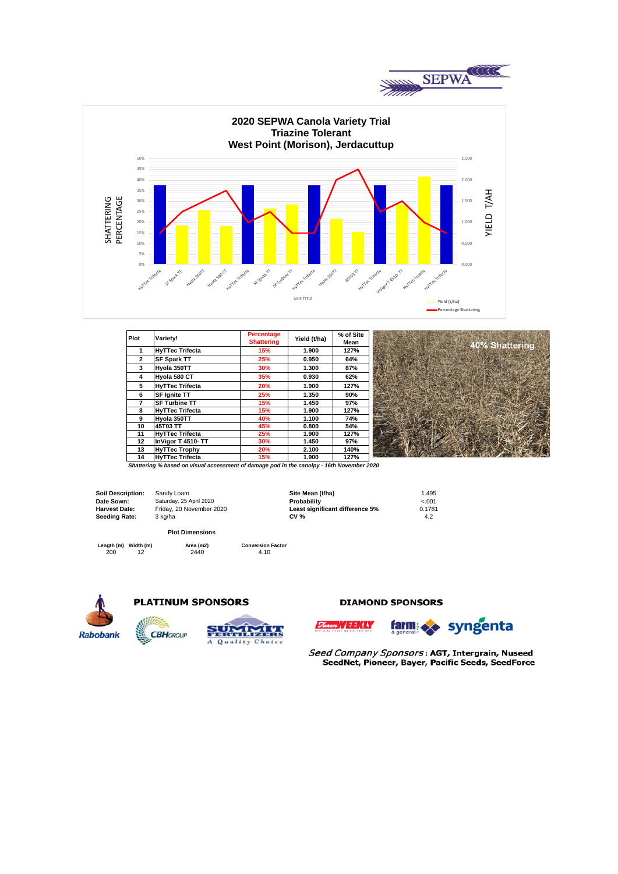



| <b>Plot</b>    | Variety!               | Percentage<br><b>Shattering</b> | Yield (t/ha) | % of Site<br>Mean |
|----------------|------------------------|---------------------------------|--------------|-------------------|
|                | <b>HyTTec Trifecta</b> | 15%                             | 1.900        | 127%              |
| $\overline{2}$ | <b>SF Spark TT</b>     | 25%                             | 0.950        | 64%               |
| 3              | Hyola 350TT            | 30%                             | 1.300        | 87%               |
| 4              | Hyola 580 CT           | 35%                             | 0.930        | 62%               |
| 5              | <b>HyTTec Trifecta</b> | 20%                             | 1.900        | 127%              |
| 6              | <b>SF Ignite TT</b>    | 25%                             | 1.350        | 90%               |
|                | <b>SF Turbine TT</b>   | 15%                             | 1.450        | 97%               |
| 8              | <b>HyTTec Trifecta</b> | 15%                             | 1.900        | 127%              |
| 9              | Hyola 350TT            | 40%                             | 1.100        | 74%               |
| 10             | 45T03 TT               | 45%                             | 0.800        | 54%               |
| 11             | <b>HyTTec Trifecta</b> | 25%                             | 1.900        | 127%              |
| 12             | InVigor T 4510-TT      | 30%                             | 1.450        | 97%               |
| 13             | <b>HyTTec Trophy</b>   | 20%                             | 2.100        | 140%              |
| 14             | <b>HvTTec Trifecta</b> | 15%                             | 1.900        | 127%              |

*Shattering % based on visual accessment of damage pod in the canolpy - 16th November 2020*

**Soil Description: Date Sown: Harvest Date: Seeding Rate:**

Sandy Loam **Site Mean (t/ha)** 1.495<br>
Saturday, 25 April 2020 **1.495 Communist Probability** 1.495 Saturday, 25 April 2020 **Probability** <.001 Friday, 20 November 2020 **Least significant difference 5%** 0.178<br>3 kg/ha **CV % CV %** 4.2 3 kg/ha **CV %** 4.2

**Length (m) Width (m) Area (m2) Conversion Factor**

200 12 2440 4.10 **Plot Dimensions**

**ARABIATAN** 

A Quality Choice



## **PLATINUM SPONSORS**

**CBH**GROUP

#### **DIAMOND SPONSORS**





ttering

Seed Company Sponsors: AGT, Intergrain, Nuseed SeedNet, Pioneer, Bayer, Pacific Seeds, SeedForce